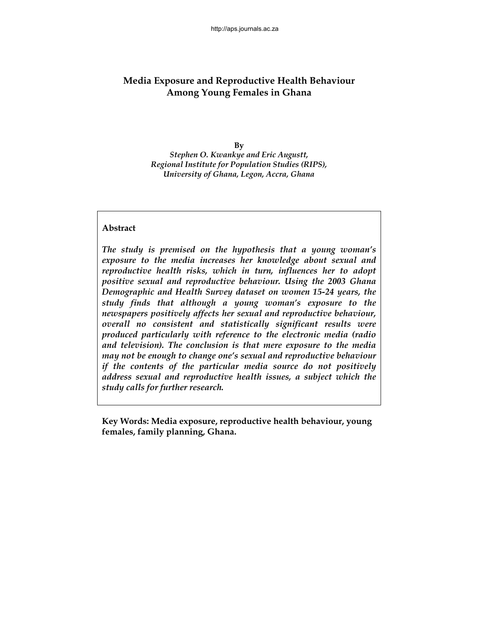# **Media Exposure and Reproductive Health Behaviour Among Young Females in Ghana**

**By** 

*Stephen O. Kwankye and Eric Augustt, Regional Institute for Population Studies (RIPS), University of Ghana, Legon, Accra, Ghana*

# **Abstract**

*The study is premised on the hypothesis that a young woman's exposure to the media increases her knowledge about sexual and reproductive health risks, which in turn, influences her to adopt positive sexual and reproductive behaviour. Using the 2003 Ghana Demographic and Health Survey dataset on women 15-24 years, the study finds that although a young woman's exposure to the newspapers positively affects her sexual and reproductive behaviour, overall no consistent and statistically significant results were produced particularly with reference to the electronic media (radio and television). The conclusion is that mere exposure to the media may not be enough to change one's sexual and reproductive behaviour if the contents of the particular media source do not positively address sexual and reproductive health issues, a subject which the study calls for further research.* 

**Key Words: Media exposure, reproductive health behaviour, young females, family planning, Ghana.**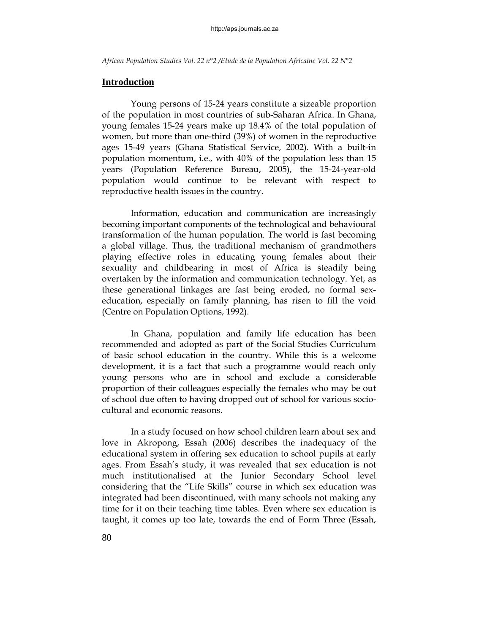# **Introduction**

Young persons of 15-24 years constitute a sizeable proportion of the population in most countries of sub-Saharan Africa. In Ghana, young females 15-24 years make up 18.4% of the total population of women, but more than one-third (39%) of women in the reproductive ages 15-49 years (Ghana Statistical Service, 2002). With a built-in population momentum, i.e., with 40% of the population less than 15 years (Population Reference Bureau, 2005), the 15-24-year-old population would continue to be relevant with respect to reproductive health issues in the country.

Information, education and communication are increasingly becoming important components of the technological and behavioural transformation of the human population. The world is fast becoming a global village. Thus, the traditional mechanism of grandmothers playing effective roles in educating young females about their sexuality and childbearing in most of Africa is steadily being overtaken by the information and communication technology. Yet, as these generational linkages are fast being eroded, no formal sexeducation, especially on family planning, has risen to fill the void (Centre on Population Options, 1992).

In Ghana, population and family life education has been recommended and adopted as part of the Social Studies Curriculum of basic school education in the country. While this is a welcome development, it is a fact that such a programme would reach only young persons who are in school and exclude a considerable proportion of their colleagues especially the females who may be out of school due often to having dropped out of school for various sociocultural and economic reasons.

In a study focused on how school children learn about sex and love in Akropong, Essah (2006) describes the inadequacy of the educational system in offering sex education to school pupils at early ages. From Essah's study, it was revealed that sex education is not much institutionalised at the Junior Secondary School level considering that the "Life Skills" course in which sex education was integrated had been discontinued, with many schools not making any time for it on their teaching time tables. Even where sex education is taught, it comes up too late, towards the end of Form Three (Essah,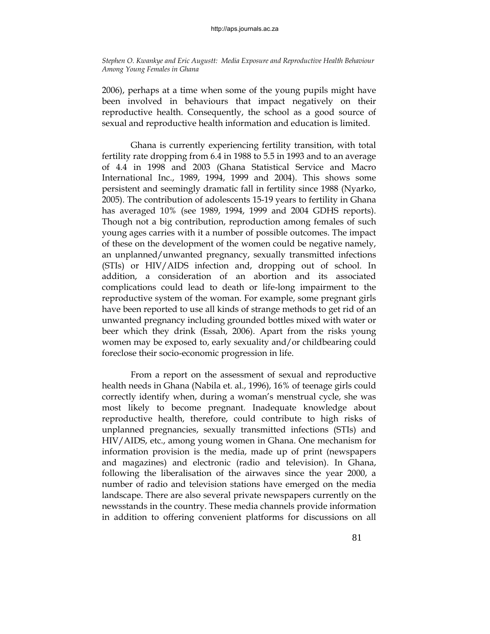2006), perhaps at a time when some of the young pupils might have been involved in behaviours that impact negatively on their reproductive health. Consequently, the school as a good source of sexual and reproductive health information and education is limited.

Ghana is currently experiencing fertility transition, with total fertility rate dropping from 6.4 in 1988 to 5.5 in 1993 and to an average of 4.4 in 1998 and 2003 (Ghana Statistical Service and Macro International Inc., 1989, 1994, 1999 and 2004). This shows some persistent and seemingly dramatic fall in fertility since 1988 (Nyarko, 2005). The contribution of adolescents 15-19 years to fertility in Ghana has averaged 10% (see 1989, 1994, 1999 and 2004 GDHS reports). Though not a big contribution, reproduction among females of such young ages carries with it a number of possible outcomes. The impact of these on the development of the women could be negative namely, an unplanned/unwanted pregnancy, sexually transmitted infections (STIs) or HIV/AIDS infection and, dropping out of school. In addition, a consideration of an abortion and its associated complications could lead to death or life-long impairment to the reproductive system of the woman. For example, some pregnant girls have been reported to use all kinds of strange methods to get rid of an unwanted pregnancy including grounded bottles mixed with water or beer which they drink (Essah, 2006). Apart from the risks young women may be exposed to, early sexuality and/or childbearing could foreclose their socio-economic progression in life.

From a report on the assessment of sexual and reproductive health needs in Ghana (Nabila et. al., 1996), 16% of teenage girls could correctly identify when, during a woman's menstrual cycle, she was most likely to become pregnant. Inadequate knowledge about reproductive health, therefore, could contribute to high risks of unplanned pregnancies, sexually transmitted infections (STIs) and HIV/AIDS, etc., among young women in Ghana. One mechanism for information provision is the media, made up of print (newspapers and magazines) and electronic (radio and television). In Ghana, following the liberalisation of the airwaves since the year 2000, a number of radio and television stations have emerged on the media landscape. There are also several private newspapers currently on the newsstands in the country. These media channels provide information in addition to offering convenient platforms for discussions on all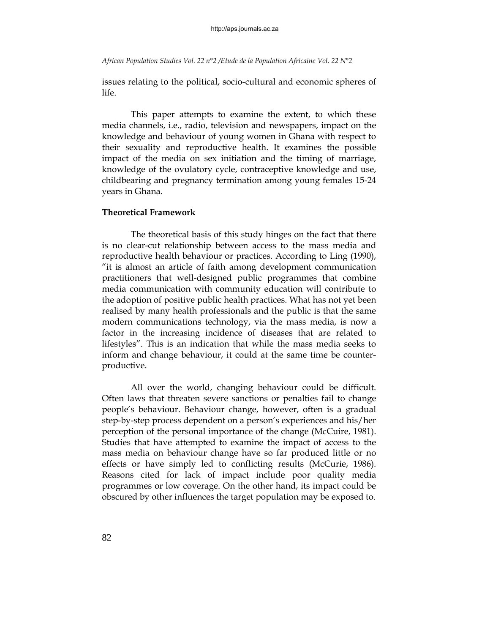issues relating to the political, socio-cultural and economic spheres of life.

This paper attempts to examine the extent, to which these media channels, i.e., radio, television and newspapers, impact on the knowledge and behaviour of young women in Ghana with respect to their sexuality and reproductive health. It examines the possible impact of the media on sex initiation and the timing of marriage, knowledge of the ovulatory cycle, contraceptive knowledge and use, childbearing and pregnancy termination among young females 15-24 years in Ghana.

### **Theoretical Framework**

The theoretical basis of this study hinges on the fact that there is no clear-cut relationship between access to the mass media and reproductive health behaviour or practices. According to Ling (1990), "it is almost an article of faith among development communication practitioners that well-designed public programmes that combine media communication with community education will contribute to the adoption of positive public health practices. What has not yet been realised by many health professionals and the public is that the same modern communications technology, via the mass media, is now a factor in the increasing incidence of diseases that are related to lifestyles". This is an indication that while the mass media seeks to inform and change behaviour, it could at the same time be counterproductive.

All over the world, changing behaviour could be difficult. Often laws that threaten severe sanctions or penalties fail to change people's behaviour. Behaviour change, however, often is a gradual step-by-step process dependent on a person's experiences and his/her perception of the personal importance of the change (McCuire, 1981). Studies that have attempted to examine the impact of access to the mass media on behaviour change have so far produced little or no effects or have simply led to conflicting results (McCurie, 1986). Reasons cited for lack of impact include poor quality media programmes or low coverage. On the other hand, its impact could be obscured by other influences the target population may be exposed to.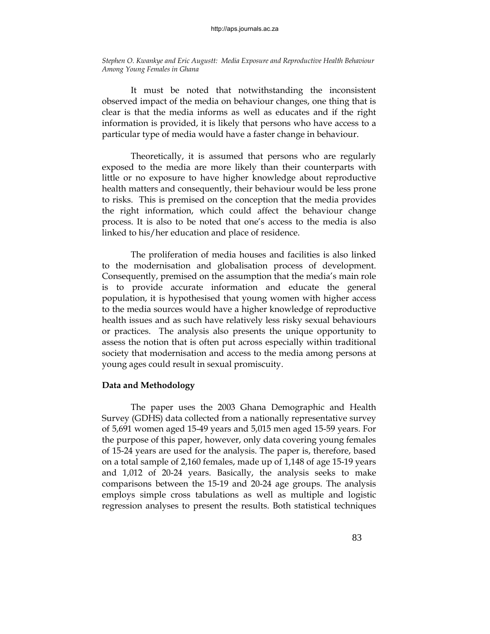It must be noted that notwithstanding the inconsistent observed impact of the media on behaviour changes, one thing that is clear is that the media informs as well as educates and if the right information is provided, it is likely that persons who have access to a particular type of media would have a faster change in behaviour.

Theoretically, it is assumed that persons who are regularly exposed to the media are more likely than their counterparts with little or no exposure to have higher knowledge about reproductive health matters and consequently, their behaviour would be less prone to risks. This is premised on the conception that the media provides the right information, which could affect the behaviour change process. It is also to be noted that one's access to the media is also linked to his/her education and place of residence.

The proliferation of media houses and facilities is also linked to the modernisation and globalisation process of development. Consequently, premised on the assumption that the media's main role is to provide accurate information and educate the general population, it is hypothesised that young women with higher access to the media sources would have a higher knowledge of reproductive health issues and as such have relatively less risky sexual behaviours or practices. The analysis also presents the unique opportunity to assess the notion that is often put across especially within traditional society that modernisation and access to the media among persons at young ages could result in sexual promiscuity.

### **Data and Methodology**

The paper uses the 2003 Ghana Demographic and Health Survey (GDHS) data collected from a nationally representative survey of 5,691 women aged 15-49 years and 5,015 men aged 15-59 years. For the purpose of this paper, however, only data covering young females of 15-24 years are used for the analysis. The paper is, therefore, based on a total sample of 2,160 females, made up of 1,148 of age 15-19 years and 1,012 of 20-24 years. Basically, the analysis seeks to make comparisons between the 15-19 and 20-24 age groups. The analysis employs simple cross tabulations as well as multiple and logistic regression analyses to present the results. Both statistical techniques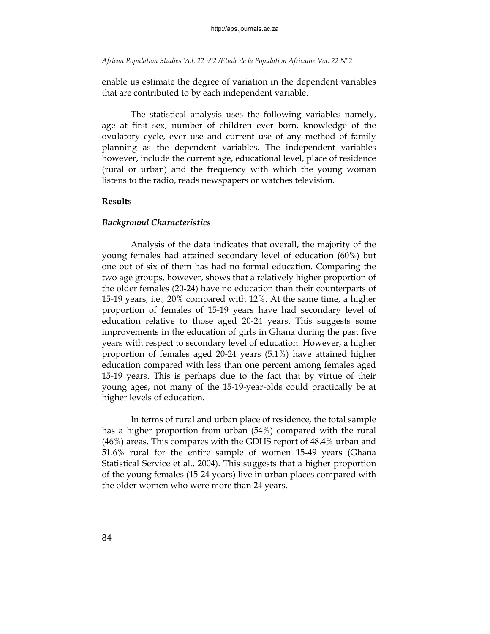enable us estimate the degree of variation in the dependent variables that are contributed to by each independent variable.

The statistical analysis uses the following variables namely, age at first sex, number of children ever born, knowledge of the ovulatory cycle, ever use and current use of any method of family planning as the dependent variables. The independent variables however, include the current age, educational level, place of residence (rural or urban) and the frequency with which the young woman listens to the radio, reads newspapers or watches television.

#### **Results**

#### *Background Characteristics*

Analysis of the data indicates that overall, the majority of the young females had attained secondary level of education (60%) but one out of six of them has had no formal education. Comparing the two age groups, however, shows that a relatively higher proportion of the older females (20-24) have no education than their counterparts of 15-19 years, i.e., 20% compared with 12%. At the same time, a higher proportion of females of 15-19 years have had secondary level of education relative to those aged 20-24 years. This suggests some improvements in the education of girls in Ghana during the past five years with respect to secondary level of education. However, a higher proportion of females aged 20-24 years (5.1%) have attained higher education compared with less than one percent among females aged 15-19 years. This is perhaps due to the fact that by virtue of their young ages, not many of the 15-19-year-olds could practically be at higher levels of education.

In terms of rural and urban place of residence, the total sample has a higher proportion from urban (54%) compared with the rural (46%) areas. This compares with the GDHS report of 48.4% urban and 51.6% rural for the entire sample of women 15-49 years (Ghana Statistical Service et al., 2004). This suggests that a higher proportion of the young females (15-24 years) live in urban places compared with the older women who were more than 24 years.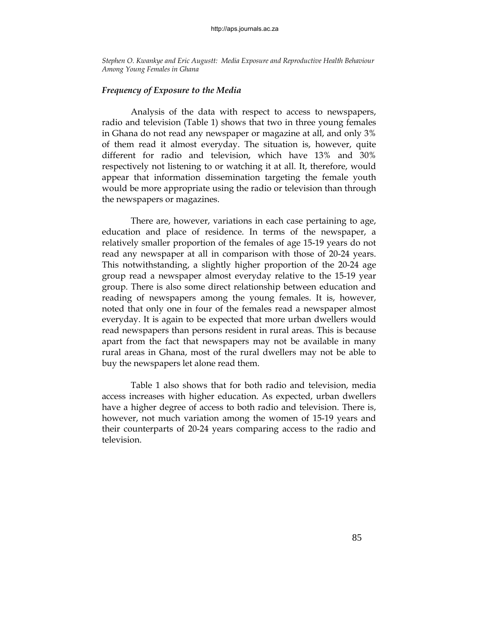#### *Frequency of Exposure to the Media*

 Analysis of the data with respect to access to newspapers, radio and television (Table 1) shows that two in three young females in Ghana do not read any newspaper or magazine at all, and only 3% of them read it almost everyday. The situation is, however, quite different for radio and television, which have 13% and 30% respectively not listening to or watching it at all. It, therefore, would appear that information dissemination targeting the female youth would be more appropriate using the radio or television than through the newspapers or magazines.

There are, however, variations in each case pertaining to age, education and place of residence. In terms of the newspaper, a relatively smaller proportion of the females of age 15-19 years do not read any newspaper at all in comparison with those of 20-24 years. This notwithstanding, a slightly higher proportion of the 20-24 age group read a newspaper almost everyday relative to the 15-19 year group. There is also some direct relationship between education and reading of newspapers among the young females. It is, however, noted that only one in four of the females read a newspaper almost everyday. It is again to be expected that more urban dwellers would read newspapers than persons resident in rural areas. This is because apart from the fact that newspapers may not be available in many rural areas in Ghana, most of the rural dwellers may not be able to buy the newspapers let alone read them.

 Table 1 also shows that for both radio and television, media access increases with higher education. As expected, urban dwellers have a higher degree of access to both radio and television. There is, however, not much variation among the women of 15-19 years and their counterparts of 20-24 years comparing access to the radio and television.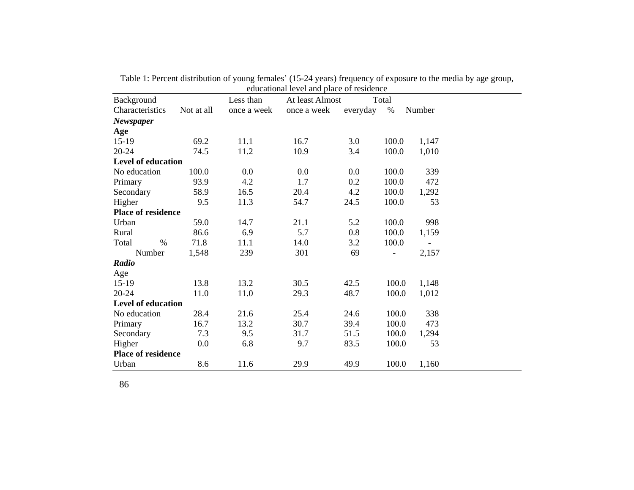|                           |            |             | equeational level and place of residence |          |                          |        |
|---------------------------|------------|-------------|------------------------------------------|----------|--------------------------|--------|
| Background                |            | Less than   | At least Almost                          |          | Total                    |        |
| Characteristics           | Not at all | once a week | once a week                              | everyday | %                        | Number |
| <b>Newspaper</b>          |            |             |                                          |          |                          |        |
| Age                       |            |             |                                          |          |                          |        |
| $15-19$                   | 69.2       | 11.1        | 16.7                                     | 3.0      | 100.0                    | 1,147  |
| $20 - 24$                 | 74.5       | 11.2        | 10.9                                     | 3.4      | 100.0                    | 1,010  |
| Level of education        |            |             |                                          |          |                          |        |
| No education              | 100.0      | 0.0         | 0.0                                      | 0.0      | 100.0                    | 339    |
| Primary                   | 93.9       | 4.2         | 1.7                                      | 0.2      | 100.0                    | 472    |
| Secondary                 | 58.9       | 16.5        | 20.4                                     | 4.2      | 100.0                    | 1,292  |
| Higher                    | 9.5        | 11.3        | 54.7                                     | 24.5     | 100.0                    | 53     |
| <b>Place of residence</b> |            |             |                                          |          |                          |        |
| Urban                     | 59.0       | 14.7        | 21.1                                     | 5.2      | 100.0                    | 998    |
| Rural                     | 86.6       | 6.9         | 5.7                                      | 0.8      | 100.0                    | 1,159  |
| $\%$<br>Total             | 71.8       | 11.1        | 14.0                                     | 3.2      | 100.0                    |        |
| Number                    | 1,548      | 239         | 301                                      | 69       | $\overline{\phantom{0}}$ | 2,157  |
| Radio                     |            |             |                                          |          |                          |        |
| Age                       |            |             |                                          |          |                          |        |
| $15-19$                   | 13.8       | 13.2        | 30.5                                     | 42.5     | 100.0                    | 1,148  |
| $20 - 24$                 | 11.0       | 11.0        | 29.3                                     | 48.7     | 100.0                    | 1,012  |
| <b>Level of education</b> |            |             |                                          |          |                          |        |
| No education              | 28.4       | 21.6        | 25.4                                     | 24.6     | 100.0                    | 338    |
| Primary                   | 16.7       | 13.2        | 30.7                                     | 39.4     | 100.0                    | 473    |
| Secondary                 | 7.3        | 9.5         | 31.7                                     | 51.5     | 100.0                    | 1,294  |
| Higher                    | $0.0\,$    | 6.8         | 9.7                                      | 83.5     | 100.0                    | 53     |
| <b>Place of residence</b> |            |             |                                          |          |                          |        |
| Urban                     | 8.6        | 11.6        | 29.9                                     | 49.9     | 100.0                    | 1,160  |

Table 1: Percent distribution of young females' (15-24 years) frequency of exposure to the media by age group, educational level and place of residence

86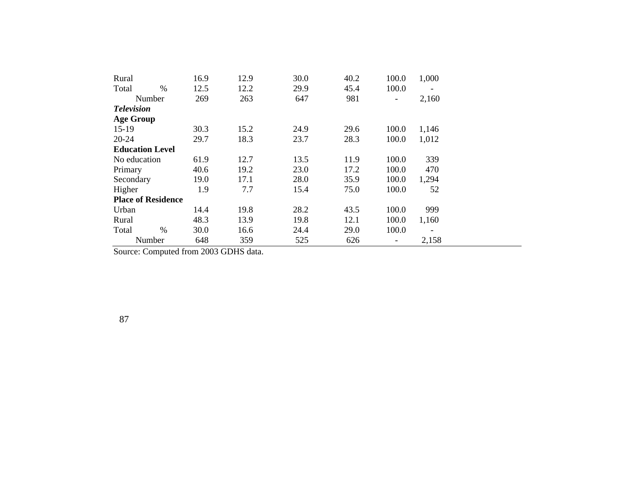| Rural                     | 16.9 | 12.9 | 30.0 | 40.2 | 100.0                    | 1,000                    |
|---------------------------|------|------|------|------|--------------------------|--------------------------|
| $\frac{0}{0}$<br>Total    | 12.5 | 12.2 | 29.9 | 45.4 | 100.0                    |                          |
| Number                    | 269  | 263  | 647  | 981  | $\overline{\phantom{a}}$ | 2,160                    |
| <b>Television</b>         |      |      |      |      |                          |                          |
| <b>Age Group</b>          |      |      |      |      |                          |                          |
| $15-19$                   | 30.3 | 15.2 | 24.9 | 29.6 | 100.0                    | 1,146                    |
| $20 - 24$                 | 29.7 | 18.3 | 23.7 | 28.3 | 100.0                    | 1,012                    |
| <b>Education Level</b>    |      |      |      |      |                          |                          |
| No education              | 61.9 | 12.7 | 13.5 | 11.9 | 100.0                    | 339                      |
| Primary                   | 40.6 | 19.2 | 23.0 | 17.2 | 100.0                    | 470                      |
| Secondary                 | 19.0 | 17.1 | 28.0 | 35.9 | 100.0                    | 1,294                    |
| Higher                    | 1.9  | 7.7  | 15.4 | 75.0 | 100.0                    | 52                       |
| <b>Place of Residence</b> |      |      |      |      |                          |                          |
| Urban                     | 14.4 | 19.8 | 28.2 | 43.5 | 100.0                    | 999                      |
| Rural                     | 48.3 | 13.9 | 19.8 | 12.1 | 100.0                    | 1,160                    |
| Total<br>$\frac{0}{0}$    | 30.0 | 16.6 | 24.4 | 29.0 | 100.0                    | $\overline{\phantom{a}}$ |
| Number                    | 648  | 359  | 525  | 626  |                          | 2,158                    |

Source: Computed from 2003 GDHS data.

87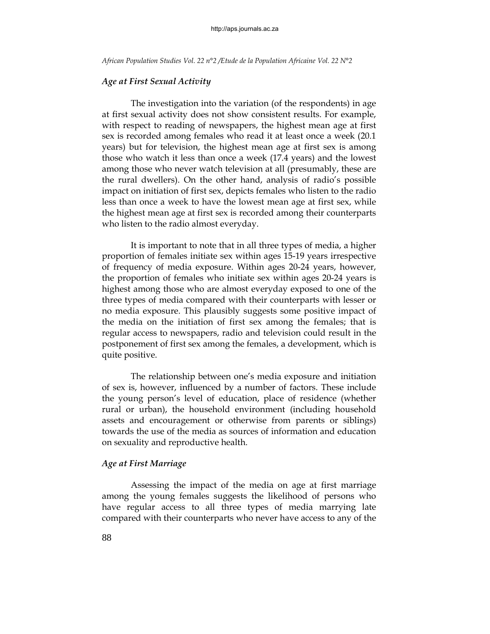### *Age at First Sexual Activity*

The investigation into the variation (of the respondents) in age at first sexual activity does not show consistent results. For example, with respect to reading of newspapers, the highest mean age at first sex is recorded among females who read it at least once a week (20.1 years) but for television, the highest mean age at first sex is among those who watch it less than once a week (17.4 years) and the lowest among those who never watch television at all (presumably, these are the rural dwellers). On the other hand, analysis of radio's possible impact on initiation of first sex, depicts females who listen to the radio less than once a week to have the lowest mean age at first sex, while the highest mean age at first sex is recorded among their counterparts who listen to the radio almost everyday.

It is important to note that in all three types of media, a higher proportion of females initiate sex within ages 15-19 years irrespective of frequency of media exposure. Within ages 20-24 years, however, the proportion of females who initiate sex within ages 20-24 years is highest among those who are almost everyday exposed to one of the three types of media compared with their counterparts with lesser or no media exposure. This plausibly suggests some positive impact of the media on the initiation of first sex among the females; that is regular access to newspapers, radio and television could result in the postponement of first sex among the females, a development, which is quite positive.

The relationship between one's media exposure and initiation of sex is, however, influenced by a number of factors. These include the young person's level of education, place of residence (whether rural or urban), the household environment (including household assets and encouragement or otherwise from parents or siblings) towards the use of the media as sources of information and education on sexuality and reproductive health.

### *Age at First Marriage*

Assessing the impact of the media on age at first marriage among the young females suggests the likelihood of persons who have regular access to all three types of media marrying late compared with their counterparts who never have access to any of the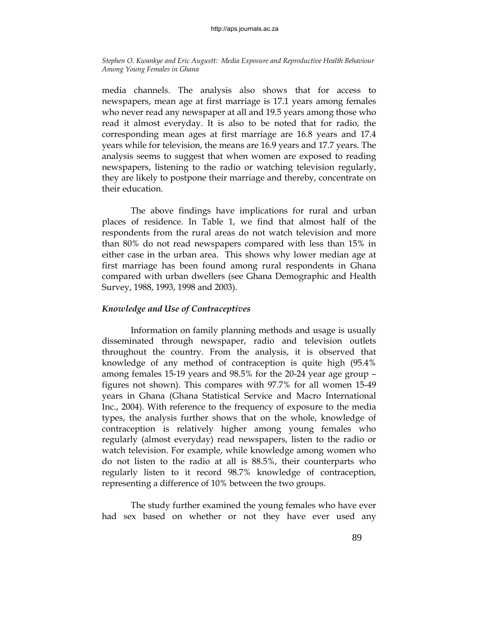media channels. The analysis also shows that for access to newspapers, mean age at first marriage is 17.1 years among females who never read any newspaper at all and 19.5 years among those who read it almost everyday. It is also to be noted that for radio, the corresponding mean ages at first marriage are 16.8 years and 17.4 years while for television, the means are 16.9 years and 17.7 years. The analysis seems to suggest that when women are exposed to reading newspapers, listening to the radio or watching television regularly, they are likely to postpone their marriage and thereby, concentrate on their education.

The above findings have implications for rural and urban places of residence. In Table 1, we find that almost half of the respondents from the rural areas do not watch television and more than 80% do not read newspapers compared with less than 15% in either case in the urban area. This shows why lower median age at first marriage has been found among rural respondents in Ghana compared with urban dwellers (see Ghana Demographic and Health Survey, 1988, 1993, 1998 and 2003).

# *Knowledge and Use of Contraceptives*

Information on family planning methods and usage is usually disseminated through newspaper, radio and television outlets throughout the country. From the analysis, it is observed that knowledge of any method of contraception is quite high (95.4% among females 15-19 years and 98.5% for the 20-24 year age group – figures not shown). This compares with 97.7% for all women 15-49 years in Ghana (Ghana Statistical Service and Macro International Inc., 2004). With reference to the frequency of exposure to the media types, the analysis further shows that on the whole, knowledge of contraception is relatively higher among young females who regularly (almost everyday) read newspapers, listen to the radio or watch television. For example, while knowledge among women who do not listen to the radio at all is 88.5%, their counterparts who regularly listen to it record 98.7% knowledge of contraception, representing a difference of 10% between the two groups.

The study further examined the young females who have ever had sex based on whether or not they have ever used any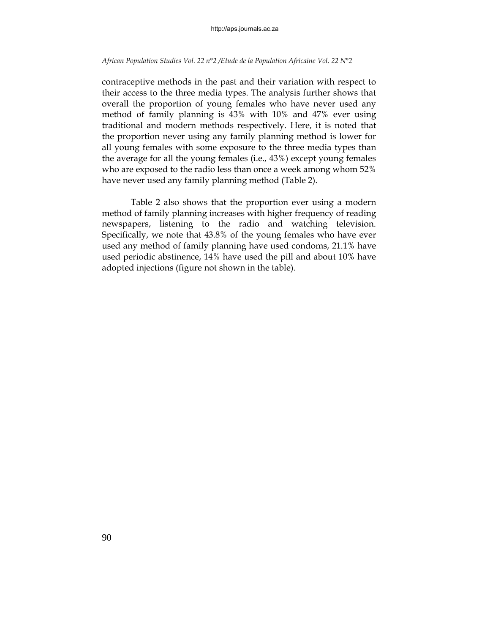contraceptive methods in the past and their variation with respect to their access to the three media types. The analysis further shows that overall the proportion of young females who have never used any method of family planning is 43% with 10% and 47% ever using traditional and modern methods respectively. Here, it is noted that the proportion never using any family planning method is lower for all young females with some exposure to the three media types than the average for all the young females (i.e., 43%) except young females who are exposed to the radio less than once a week among whom 52% have never used any family planning method (Table 2).

Table 2 also shows that the proportion ever using a modern method of family planning increases with higher frequency of reading newspapers, listening to the radio and watching television. Specifically, we note that 43.8% of the young females who have ever used any method of family planning have used condoms, 21.1% have used periodic abstinence, 14% have used the pill and about 10% have adopted injections (figure not shown in the table).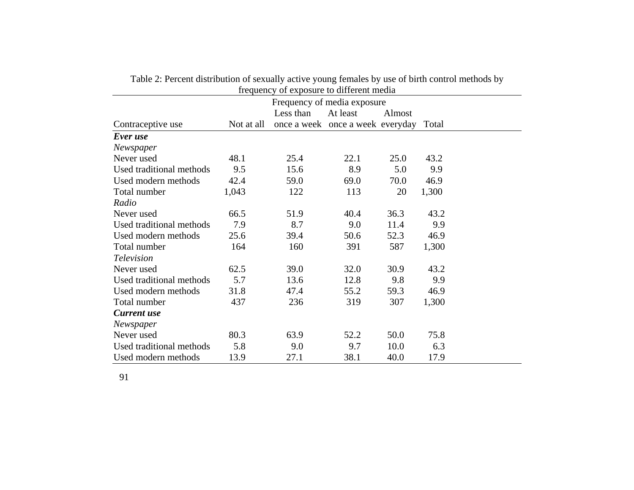| frequency of exposure to different media |            |           |                                        |        |       |  |
|------------------------------------------|------------|-----------|----------------------------------------|--------|-------|--|
| Frequency of media exposure              |            |           |                                        |        |       |  |
|                                          |            | Less than | At least                               | Almost |       |  |
| Contraceptive use                        | Not at all |           | once a week once a week everyday Total |        |       |  |
| Ever use                                 |            |           |                                        |        |       |  |
| Newspaper                                |            |           |                                        |        |       |  |
| Never used                               | 48.1       | 25.4      | 22.1                                   | 25.0   | 43.2  |  |
| Used traditional methods                 | 9.5        | 15.6      | 8.9                                    | 5.0    | 9.9   |  |
| Used modern methods                      | 42.4       | 59.0      | 69.0                                   | 70.0   | 46.9  |  |
| Total number                             | 1,043      | 122       | 113                                    | 20     | 1,300 |  |
| Radio                                    |            |           |                                        |        |       |  |
| Never used                               | 66.5       | 51.9      | 40.4                                   | 36.3   | 43.2  |  |
| Used traditional methods                 | 7.9        | 8.7       | 9.0                                    | 11.4   | 9.9   |  |
| Used modern methods                      | 25.6       | 39.4      | 50.6                                   | 52.3   | 46.9  |  |
| Total number                             | 164        | 160       | 391                                    | 587    | 1,300 |  |
| <b>Television</b>                        |            |           |                                        |        |       |  |
| Never used                               | 62.5       | 39.0      | 32.0                                   | 30.9   | 43.2  |  |
| Used traditional methods                 | 5.7        | 13.6      | 12.8                                   | 9.8    | 9.9   |  |
| Used modern methods                      | 31.8       | 47.4      | 55.2                                   | 59.3   | 46.9  |  |
| Total number                             | 437        | 236       | 319                                    | 307    | 1,300 |  |
| <b>Current use</b>                       |            |           |                                        |        |       |  |
| Newspaper                                |            |           |                                        |        |       |  |
| Never used                               | 80.3       | 63.9      | 52.2                                   | 50.0   | 75.8  |  |
| Used traditional methods                 | 5.8        | 9.0       | 9.7                                    | 10.0   | 6.3   |  |
| Used modern methods                      | 13.9       | 27.1      | 38.1                                   | 40.0   | 17.9  |  |

| Table 2: Percent distribution of sexually active young females by use of birth control methods by |
|---------------------------------------------------------------------------------------------------|
| frequency of exposure to different media                                                          |

91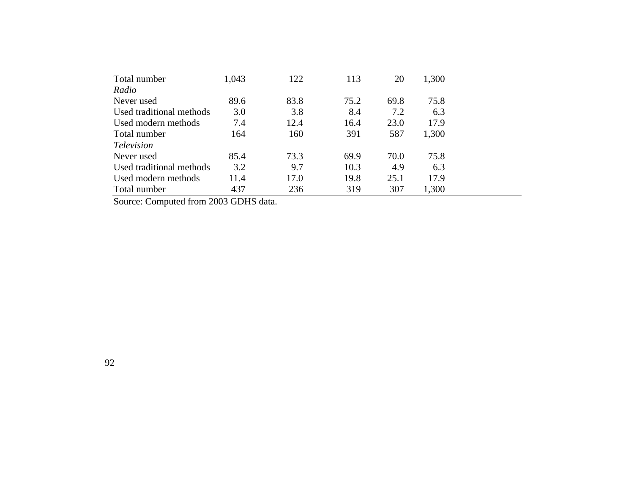| Total number             | 1,043 | 122  | 113  | 20   | 1,300 |  |
|--------------------------|-------|------|------|------|-------|--|
| Radio                    |       |      |      |      |       |  |
| Never used               | 89.6  | 83.8 | 75.2 | 69.8 | 75.8  |  |
| Used traditional methods | 3.0   | 3.8  | 8.4  | 7.2  | 6.3   |  |
| Used modern methods      | 7.4   | 12.4 | 16.4 | 23.0 | 17.9  |  |
| Total number             | 164   | 160  | 391  | 587  | 1,300 |  |
| <i>Television</i>        |       |      |      |      |       |  |
| Never used               | 85.4  | 73.3 | 69.9 | 70.0 | 75.8  |  |
| Used traditional methods | 3.2   | 9.7  | 10.3 | 4.9  | 6.3   |  |
| Used modern methods      | 11.4  | 17.0 | 19.8 | 25.1 | 17.9  |  |
| Total number             | 437   | 236  | 319  | 307  | 1,300 |  |

Source: Computed from 2003 GDHS data.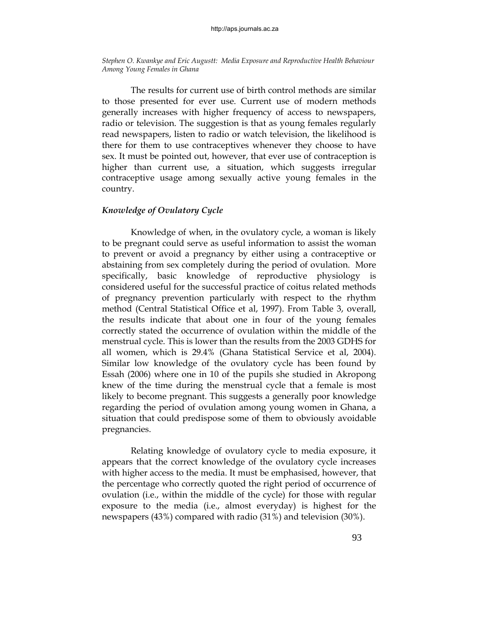The results for current use of birth control methods are similar to those presented for ever use. Current use of modern methods generally increases with higher frequency of access to newspapers, radio or television. The suggestion is that as young females regularly read newspapers, listen to radio or watch television, the likelihood is there for them to use contraceptives whenever they choose to have sex. It must be pointed out, however, that ever use of contraception is higher than current use, a situation, which suggests irregular contraceptive usage among sexually active young females in the country.

# *Knowledge of Ovulatory Cycle*

 Knowledge of when, in the ovulatory cycle, a woman is likely to be pregnant could serve as useful information to assist the woman to prevent or avoid a pregnancy by either using a contraceptive or abstaining from sex completely during the period of ovulation. More specifically, basic knowledge of reproductive physiology is considered useful for the successful practice of coitus related methods of pregnancy prevention particularly with respect to the rhythm method (Central Statistical Office et al, 1997). From Table 3, overall, the results indicate that about one in four of the young females correctly stated the occurrence of ovulation within the middle of the menstrual cycle. This is lower than the results from the 2003 GDHS for all women, which is 29.4% (Ghana Statistical Service et al, 2004). Similar low knowledge of the ovulatory cycle has been found by Essah (2006) where one in 10 of the pupils she studied in Akropong knew of the time during the menstrual cycle that a female is most likely to become pregnant. This suggests a generally poor knowledge regarding the period of ovulation among young women in Ghana, a situation that could predispose some of them to obviously avoidable pregnancies.

 Relating knowledge of ovulatory cycle to media exposure, it appears that the correct knowledge of the ovulatory cycle increases with higher access to the media. It must be emphasised, however, that the percentage who correctly quoted the right period of occurrence of ovulation (i.e., within the middle of the cycle) for those with regular exposure to the media (i.e., almost everyday) is highest for the newspapers (43%) compared with radio (31%) and television (30%).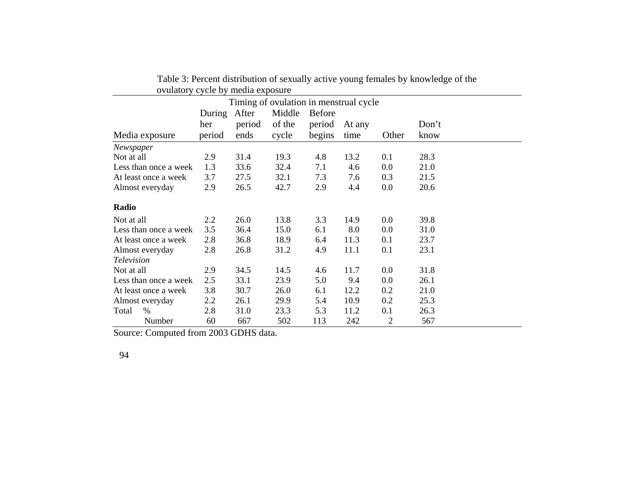| $\mathsf{v}$ , and $\mathsf{v}$        |        | $\epsilon$ , $\epsilon$ $\epsilon$ , $\epsilon$ , $\epsilon$ , $\epsilon$ , $\epsilon$ , $\epsilon$ , $\epsilon$ , $\epsilon$ , $\epsilon$ , $\epsilon$ , $\epsilon$ , $\epsilon$ , $\epsilon$ , $\epsilon$ , $\epsilon$ , $\epsilon$ , $\epsilon$ , $\epsilon$ , $\epsilon$ , $\epsilon$ , $\epsilon$ , $\epsilon$ , $\epsilon$ , $\epsilon$ , $\epsilon$ , $\epsilon$ , $\epsilon$ , $\epsilon$ , $\epsilon$ , $\epsilon$ , $\epsilon$ , $\epsilon$ , $\epsilon$ , $\epsilon$ , $\epsilon$ , |        |               |        |       |       |
|----------------------------------------|--------|------------------------------------------------------------------------------------------------------------------------------------------------------------------------------------------------------------------------------------------------------------------------------------------------------------------------------------------------------------------------------------------------------------------------------------------------------------------------------------------------|--------|---------------|--------|-------|-------|
| Timing of ovulation in menstrual cycle |        |                                                                                                                                                                                                                                                                                                                                                                                                                                                                                                |        |               |        |       |       |
|                                        | During | After                                                                                                                                                                                                                                                                                                                                                                                                                                                                                          | Middle | <b>Before</b> |        |       |       |
|                                        | her    | period                                                                                                                                                                                                                                                                                                                                                                                                                                                                                         | of the | period        | At any |       | Don't |
| Media exposure                         | period | ends                                                                                                                                                                                                                                                                                                                                                                                                                                                                                           | cycle  | begins        | time   | Other | know  |
| Newspaper                              |        |                                                                                                                                                                                                                                                                                                                                                                                                                                                                                                |        |               |        |       |       |
| Not at all                             | 2.9    | 31.4                                                                                                                                                                                                                                                                                                                                                                                                                                                                                           | 19.3   | 4.8           | 13.2   | 0.1   | 28.3  |
| Less than once a week                  | 1.3    | 33.6                                                                                                                                                                                                                                                                                                                                                                                                                                                                                           | 32.4   | 7.1           | 4.6    | 0.0   | 21.0  |
| At least once a week                   | 3.7    | 27.5                                                                                                                                                                                                                                                                                                                                                                                                                                                                                           | 32.1   | 7.3           | 7.6    | 0.3   | 21.5  |
| Almost everyday                        | 2.9    | 26.5                                                                                                                                                                                                                                                                                                                                                                                                                                                                                           | 42.7   | 2.9           | 4.4    | 0.0   | 20.6  |
| Radio                                  |        |                                                                                                                                                                                                                                                                                                                                                                                                                                                                                                |        |               |        |       |       |
| Not at all                             | 2.2    | 26.0                                                                                                                                                                                                                                                                                                                                                                                                                                                                                           | 13.8   | 3.3           | 14.9   | 0.0   | 39.8  |
| Less than once a week                  | 3.5    | 36.4                                                                                                                                                                                                                                                                                                                                                                                                                                                                                           | 15.0   | 6.1           | 8.0    | 0.0   | 31.0  |
| At least once a week                   | 2.8    | 36.8                                                                                                                                                                                                                                                                                                                                                                                                                                                                                           | 18.9   | 6.4           | 11.3   | 0.1   | 23.7  |
| Almost everyday                        | 2.8    | 26.8                                                                                                                                                                                                                                                                                                                                                                                                                                                                                           | 31.2   | 4.9           | 11.1   | 0.1   | 23.1  |
| <b>Television</b>                      |        |                                                                                                                                                                                                                                                                                                                                                                                                                                                                                                |        |               |        |       |       |
| Not at all                             | 2.9    | 34.5                                                                                                                                                                                                                                                                                                                                                                                                                                                                                           | 14.5   | 4.6           | 11.7   | 0.0   | 31.8  |
| Less than once a week                  | 2.5    | 33.1                                                                                                                                                                                                                                                                                                                                                                                                                                                                                           | 23.9   | 5.0           | 9.4    | 0.0   | 26.1  |
| At least once a week                   | 3.8    | 30.7                                                                                                                                                                                                                                                                                                                                                                                                                                                                                           | 26.0   | 6.1           | 12.2   | 0.2   | 21.0  |
| Almost everyday                        | 2.2    | 26.1                                                                                                                                                                                                                                                                                                                                                                                                                                                                                           | 29.9   | 5.4           | 10.9   | 0.2   | 25.3  |
| $\frac{0}{0}$<br>Total                 | 2.8    | 31.0                                                                                                                                                                                                                                                                                                                                                                                                                                                                                           | 23.3   | 5.3           | 11.2   | 0.1   | 26.3  |
| Number                                 | 60     | 667                                                                                                                                                                                                                                                                                                                                                                                                                                                                                            | 502    | 113           | 242    | 2     | 567   |

Table 3: Percent distribution of sexually active young females by knowledge of the ovulatory cycle by media exposure

Source: Computed from 2003 GDHS data.

94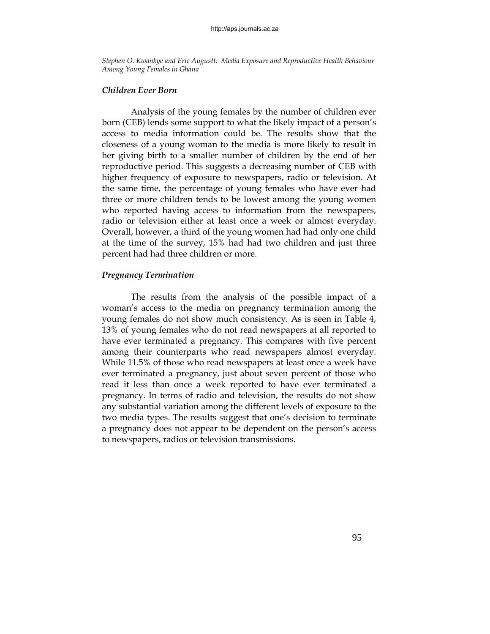#### *Children Ever Born*

 Analysis of the young females by the number of children ever born (CEB) lends some support to what the likely impact of a person's access to media information could be. The results show that the closeness of a young woman to the media is more likely to result in her giving birth to a smaller number of children by the end of her reproductive period. This suggests a decreasing number of CEB with higher frequency of exposure to newspapers, radio or television. At the same time, the percentage of young females who have ever had three or more children tends to be lowest among the young women who reported having access to information from the newspapers, radio or television either at least once a week or almost everyday. Overall, however, a third of the young women had had only one child at the time of the survey, 15% had had two children and just three percent had had three children or more.

# *Pregnancy Termination*

 The results from the analysis of the possible impact of a woman's access to the media on pregnancy termination among the young females do not show much consistency. As is seen in Table 4, 13% of young females who do not read newspapers at all reported to have ever terminated a pregnancy. This compares with five percent among their counterparts who read newspapers almost everyday. While 11.5% of those who read newspapers at least once a week have ever terminated a pregnancy, just about seven percent of those who read it less than once a week reported to have ever terminated a pregnancy. In terms of radio and television, the results do not show any substantial variation among the different levels of exposure to the two media types. The results suggest that one's decision to terminate a pregnancy does not appear to be dependent on the person's access to newspapers, radios or television transmissions.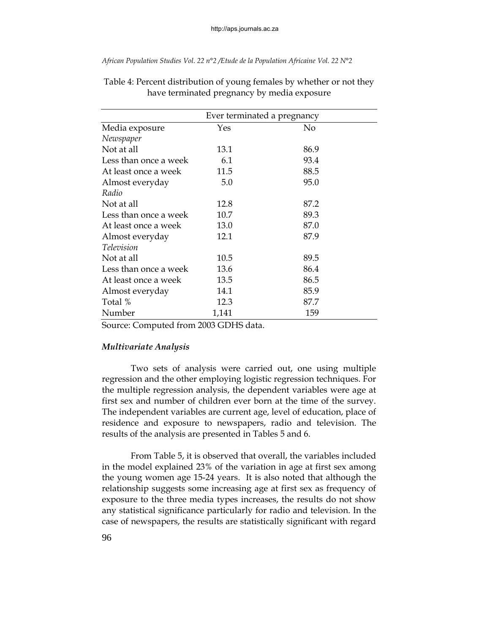|                       | Ever terminated a pregnancy |      |  |  |  |
|-----------------------|-----------------------------|------|--|--|--|
| Media exposure        | Yes                         | No   |  |  |  |
| Newspaper             |                             |      |  |  |  |
| Not at all            | 13.1                        | 86.9 |  |  |  |
| Less than once a week | 6.1                         | 93.4 |  |  |  |
| At least once a week  | 11.5                        | 88.5 |  |  |  |
| Almost everyday       | 5.0                         | 95.0 |  |  |  |
| Radio                 |                             |      |  |  |  |
| Not at all            | 12.8                        | 87.2 |  |  |  |
| Less than once a week | 10.7                        | 89.3 |  |  |  |
| At least once a week  | 13.0                        | 87.0 |  |  |  |
| Almost everyday       | 12.1                        | 87.9 |  |  |  |
| Television            |                             |      |  |  |  |
| Not at all            | 10.5                        | 89.5 |  |  |  |
| Less than once a week | 13.6                        | 86.4 |  |  |  |
| At least once a week  | 13.5                        | 86.5 |  |  |  |
| Almost everyday       | 14.1                        | 85.9 |  |  |  |
| Total %               | 12.3                        | 87.7 |  |  |  |
| Number                | 1,141                       | 159  |  |  |  |

Table 4: Percent distribution of young females by whether or not they have terminated pregnancy by media exposure

Source: Computed from 2003 GDHS data.

# *Multivariate Analysis*

Two sets of analysis were carried out, one using multiple regression and the other employing logistic regression techniques. For the multiple regression analysis, the dependent variables were age at first sex and number of children ever born at the time of the survey. The independent variables are current age, level of education, place of residence and exposure to newspapers, radio and television. The results of the analysis are presented in Tables 5 and 6.

 From Table 5, it is observed that overall, the variables included in the model explained 23% of the variation in age at first sex among the young women age 15-24 years. It is also noted that although the relationship suggests some increasing age at first sex as frequency of exposure to the three media types increases, the results do not show any statistical significance particularly for radio and television. In the case of newspapers, the results are statistically significant with regard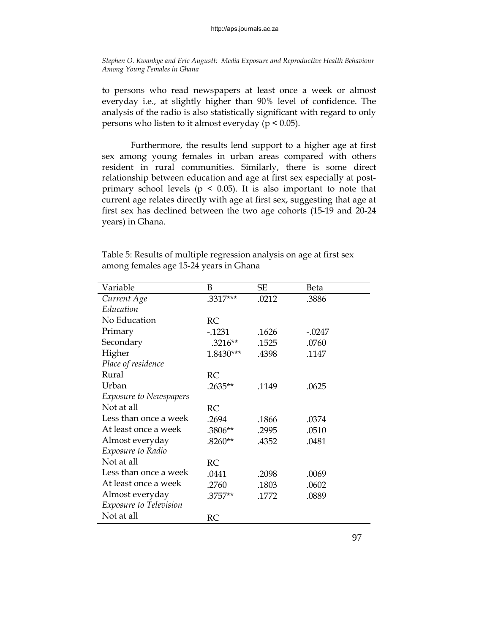to persons who read newspapers at least once a week or almost everyday i.e., at slightly higher than 90% level of confidence. The analysis of the radio is also statistically significant with regard to only persons who listen to it almost everyday ( $p < 0.05$ ).

 Furthermore, the results lend support to a higher age at first sex among young females in urban areas compared with others resident in rural communities. Similarly, there is some direct relationship between education and age at first sex especially at postprimary school levels ( $p \le 0.05$ ). It is also important to note that current age relates directly with age at first sex, suggesting that age at first sex has declined between the two age cohorts (15-19 and 20-24 years) in Ghana.

| Variable                      | B         | <b>SE</b> | Beta     |
|-------------------------------|-----------|-----------|----------|
| Current Age                   | .3317***  | .0212     | .3886    |
| Education                     |           |           |          |
| No Education                  | RC        |           |          |
| Primary                       | $-0.1231$ | .1626     | $-.0247$ |
| Secondary                     | $.3216**$ | .1525     | .0760    |
| Higher                        | 1.8430*** | .4398     | .1147    |
| Place of residence            |           |           |          |
| Rural                         | RC        |           |          |
| Urban                         | .2635**   | .1149     | .0625    |
| <b>Exposure to Newspapers</b> |           |           |          |
| Not at all                    | RC        |           |          |
| Less than once a week         | .2694     | .1866     | .0374    |
| At least once a week          | .3806**   | .2995     | .0510    |
| Almost everyday               | $.8260**$ | .4352     | .0481    |
| <i>Exposure to Radio</i>      |           |           |          |
| Not at all                    | <b>RC</b> |           |          |
| Less than once a week         | .0441     | .2098     | .0069    |
| At least once a week          | .2760     | .1803     | .0602    |
| Almost everyday               | .3757**   | .1772     | .0889    |
| <i>Exposure to Television</i> |           |           |          |
| Not at all                    | RC        |           |          |

Table 5: Results of multiple regression analysis on age at first sex among females age 15-24 years in Ghana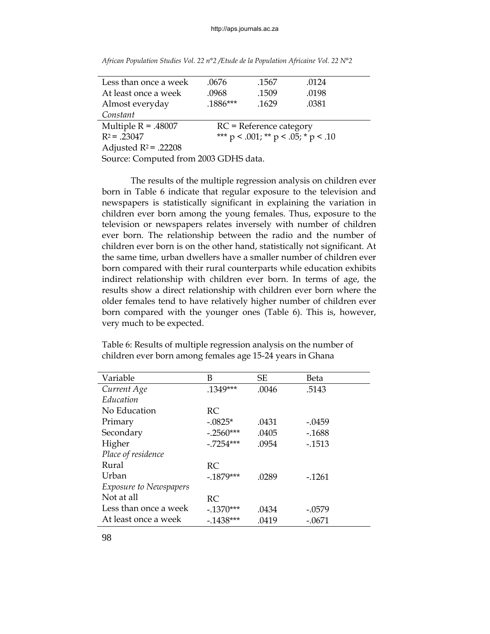| Less than once a week                                         | .0676      | .1567                     | .0124 |  |  |
|---------------------------------------------------------------|------------|---------------------------|-------|--|--|
| At least once a week                                          | .0968      | .1509                     | .0198 |  |  |
| Almost everyday                                               | $.1886***$ | .1629                     | .0381 |  |  |
| Constant                                                      |            |                           |       |  |  |
| Multiple $R = .48007$                                         |            | $RC$ = Reference category |       |  |  |
| *** $p < .001$ ; ** $p < .05$ ; * $p < .10$<br>$R^2$ = .23047 |            |                           |       |  |  |
| Adjusted $R^2$ = .22208                                       |            |                           |       |  |  |
| Source: Computed from 2003 GDHS data.                         |            |                           |       |  |  |

*African Population Studies Vol. 22 n°2 /Etude de la Population Africaine Vol. 22 N°2*

 The results of the multiple regression analysis on children ever born in Table 6 indicate that regular exposure to the television and newspapers is statistically significant in explaining the variation in children ever born among the young females. Thus, exposure to the television or newspapers relates inversely with number of children ever born. The relationship between the radio and the number of children ever born is on the other hand, statistically not significant. At the same time, urban dwellers have a smaller number of children ever born compared with their rural counterparts while education exhibits indirect relationship with children ever born. In terms of age, the results show a direct relationship with children ever born where the older females tend to have relatively higher number of children ever born compared with the younger ones (Table 6). This is, however, very much to be expected.

Table 6: Results of multiple regression analysis on the number of children ever born among females age 15-24 years in Ghana

| Variable                      | В           | <b>SE</b> | Beta      |
|-------------------------------|-------------|-----------|-----------|
| Current Age                   | $.1349***$  | .0046     | .5143     |
| Education                     |             |           |           |
| No Education                  | RC          |           |           |
| Primary                       | $-.0825*$   | .0431     | -.0459    |
| Secondary                     | $-.2560***$ | .0405     | $-1688$   |
| Higher                        | $-.7254***$ | .0954     | $-0.1513$ |
| Place of residence            |             |           |           |
| Rural                         | RC          |           |           |
| Urban                         | $-1879***$  | .0289     | $-1261$   |
| <i>Exposure to Newspapers</i> |             |           |           |
| Not at all                    | RC          |           |           |
| Less than once a week         | $-.1370***$ | .0434     | $-.0579$  |
| At least once a week          | $-1438***$  | .0419     | $-.0671$  |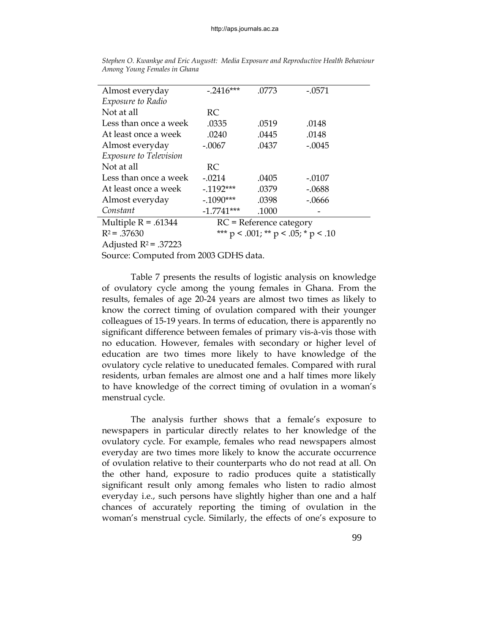| Almost everyday        | $-.2416***$                                 | .0773 | $-.0571$ |  |  |
|------------------------|---------------------------------------------|-------|----------|--|--|
| Exposure to Radio      |                                             |       |          |  |  |
| Not at all             | RC                                          |       |          |  |  |
| Less than once a week  | .0335                                       | .0519 | .0148    |  |  |
| At least once a week   | .0240                                       | .0445 | .0148    |  |  |
| Almost everyday        | $-.0067$                                    | .0437 | $-.0045$ |  |  |
| Exposure to Television |                                             |       |          |  |  |
| Not at all             | RC                                          |       |          |  |  |
| Less than once a week  | $-.0214$                                    | .0405 | $-.0107$ |  |  |
| At least once a week   | $-0.1192***$                                | .0379 | $-.0688$ |  |  |
| Almost everyday        | $-.1090***$                                 | .0398 | $-.0666$ |  |  |
| Constant               | $-1.7741***$                                | .1000 |          |  |  |
| Multiple $R = .61344$  | $RC$ = Reference category                   |       |          |  |  |
| $R^2 = .37630$         | *** $p < .001$ ; ** $p < .05$ ; * $p < .10$ |       |          |  |  |

*Stephen O. Kwankye and Eric Augustt: Media Exposure and Reproductive Health Behaviour Among Young Females in Ghana* 

Adjusted  $R^2$  = .37223

Source: Computed from 2003 GDHS data.

 Table 7 presents the results of logistic analysis on knowledge of ovulatory cycle among the young females in Ghana. From the results, females of age 20-24 years are almost two times as likely to know the correct timing of ovulation compared with their younger colleagues of 15-19 years. In terms of education, there is apparently no significant difference between females of primary vis-à-vis those with no education. However, females with secondary or higher level of education are two times more likely to have knowledge of the ovulatory cycle relative to uneducated females. Compared with rural residents, urban females are almost one and a half times more likely to have knowledge of the correct timing of ovulation in a woman's menstrual cycle.

 The analysis further shows that a female's exposure to newspapers in particular directly relates to her knowledge of the ovulatory cycle. For example, females who read newspapers almost everyday are two times more likely to know the accurate occurrence of ovulation relative to their counterparts who do not read at all. On the other hand, exposure to radio produces quite a statistically significant result only among females who listen to radio almost everyday i.e., such persons have slightly higher than one and a half chances of accurately reporting the timing of ovulation in the woman's menstrual cycle. Similarly, the effects of one's exposure to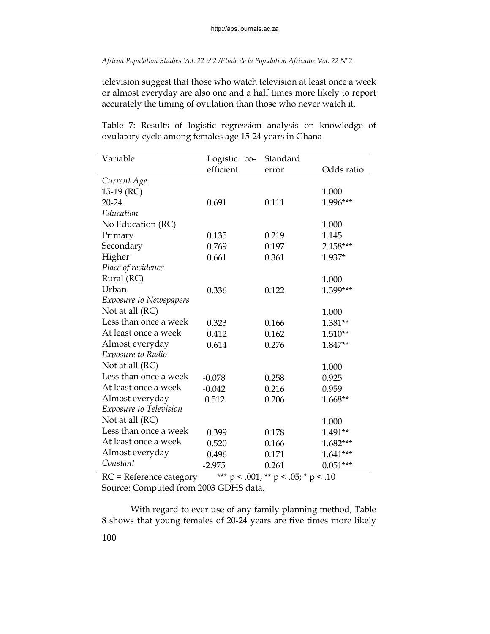television suggest that those who watch television at least once a week or almost everyday are also one and a half times more likely to report accurately the timing of ovulation than those who never watch it.

| Variable                      | Logistic co- | Standard |            |
|-------------------------------|--------------|----------|------------|
|                               | efficient    | error    | Odds ratio |
| Current Age                   |              |          |            |
| 15-19 $(RC)$                  |              |          | 1.000      |
| 20-24                         | 0.691        | 0.111    | 1.996***   |
| Education                     |              |          |            |
| No Education (RC)             |              |          | 1.000      |
| Primary                       | 0.135        | 0.219    | 1.145      |
| Secondary                     | 0.769        | 0.197    | 2.158***   |
| Higher                        | 0.661        | 0.361    | 1.937*     |
| Place of residence            |              |          |            |
| Rural (RC)                    |              |          | 1.000      |
| Urban                         | 0.336        | 0.122    | 1.399***   |
| <b>Exposure to Newspapers</b> |              |          |            |
| Not at all (RC)               |              |          | 1.000      |
| Less than once a week         | 0.323        | 0.166    | $1.381**$  |
| At least once a week          | 0.412        | 0.162    | 1.510**    |
| Almost everyday               | 0.614        | 0.276    | 1.847**    |
| Exposure to Radio             |              |          |            |
| Not at all (RC)               |              |          | 1.000      |
| Less than once a week         | $-0.078$     | 0.258    | 0.925      |
| At least once a week          | $-0.042$     | 0.216    | 0.959      |
| Almost everyday               | 0.512        | 0.206    | 1.668**    |
| Exposure to Television        |              |          |            |
| Not at all (RC)               |              |          | 1.000      |
| Less than once a week         | 0.399        | 0.178    | 1.491**    |
| At least once a week          | 0.520        | 0.166    | 1.682***   |
| Almost everyday               | 0.496        | 0.171    | $1.641***$ |
| Constant                      | $-2.975$     | 0.261    | $0.051***$ |

Table 7: Results of logistic regression analysis on knowledge of ovulatory cycle among females age 15-24 years in Ghana

RC = Reference category \*\*\*  $p < .001$ ; \*\*  $p < .05$ ; \*  $p < .10$ Source: Computed from 2003 GDHS data.

With regard to ever use of any family planning method, Table 8 shows that young females of 20-24 years are five times more likely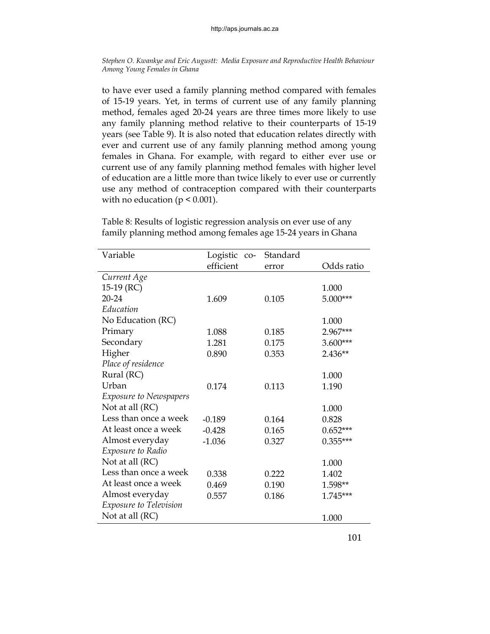to have ever used a family planning method compared with females of 15-19 years. Yet, in terms of current use of any family planning method, females aged 20-24 years are three times more likely to use any family planning method relative to their counterparts of 15-19 years (see Table 9). It is also noted that education relates directly with ever and current use of any family planning method among young females in Ghana. For example, with regard to either ever use or current use of any family planning method females with higher level of education are a little more than twice likely to ever use or currently use any method of contraception compared with their counterparts with no education ( $p \leq 0.001$ ).

| Variable                      | Logistic co- | Standard |            |
|-------------------------------|--------------|----------|------------|
|                               | efficient    | error    | Odds ratio |
| Current Age                   |              |          |            |
| 15-19 $(RC)$                  |              |          | 1.000      |
| 20-24                         | 1.609        | 0.105    | $5.000***$ |
| Education                     |              |          |            |
| No Education (RC)             |              |          | 1.000      |
| Primary                       | 1.088        | 0.185    | 2.967***   |
| Secondary                     | 1.281        | 0.175    | $3.600***$ |
| Higher                        | 0.890        | 0.353    | 2.436**    |
| Place of residence            |              |          |            |
| Rural (RC)                    |              |          | 1.000      |
| Urban                         | 0.174        | 0.113    | 1.190      |
| <b>Exposure to Newspapers</b> |              |          |            |
| Not at all (RC)               |              |          | 1.000      |
| Less than once a week         | $-0.189$     | 0.164    | 0.828      |
| At least once a week          | $-0.428$     | 0.165    | $0.652***$ |
| Almost everyday               | $-1.036$     | 0.327    | $0.355***$ |
| Exposure to Radio             |              |          |            |
| Not at all (RC)               |              |          | 1.000      |
| Less than once a week         | 0.338        | 0.222    | 1.402      |
| At least once a week          | 0.469        | 0.190    | 1.598**    |
| Almost everyday               | 0.557        | 0.186    | 1.745***   |
| Exposure to Television        |              |          |            |
| Not at all (RC)               |              |          | 1.000      |

Table 8: Results of logistic regression analysis on ever use of any family planning method among females age 15-24 years in Ghana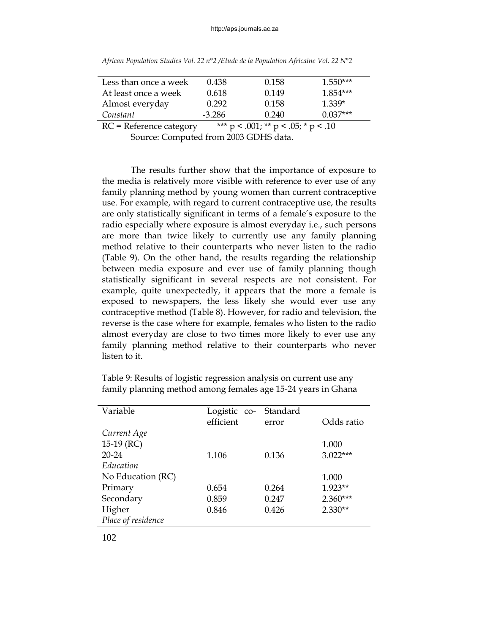| Less than once a week | 0.438  | 0.158 | $1.550***$ |
|-----------------------|--------|-------|------------|
| At least once a week  | 0.618  | 0.149 | $1.854***$ |
| Almost everyday       | 0.292  | 0.158 | $1.339*$   |
| Constant              | -3.286 | 0.240 | $0.037***$ |
|                       |        |       |            |

*African Population Studies Vol. 22 n°2 /Etude de la Population Africaine Vol. 22 N°2*

RC = Reference category  $*** p < .001$ ; \*\*  $p < .05$ ; \*  $p < .10$ 

Source: Computed from 2003 GDHS data.

The results further show that the importance of exposure to the media is relatively more visible with reference to ever use of any family planning method by young women than current contraceptive use. For example, with regard to current contraceptive use, the results are only statistically significant in terms of a female's exposure to the radio especially where exposure is almost everyday i.e., such persons are more than twice likely to currently use any family planning method relative to their counterparts who never listen to the radio (Table 9). On the other hand, the results regarding the relationship between media exposure and ever use of family planning though statistically significant in several respects are not consistent. For example, quite unexpectedly, it appears that the more a female is exposed to newspapers, the less likely she would ever use any contraceptive method (Table 8). However, for radio and television, the reverse is the case where for example, females who listen to the radio almost everyday are close to two times more likely to ever use any family planning method relative to their counterparts who never listen to it.

| Variable           | Logistic co- | Standard |            |
|--------------------|--------------|----------|------------|
|                    | efficient    | error    | Odds ratio |
| Current Age        |              |          |            |
| 15-19 $(RC)$       |              |          | 1.000      |
| $20 - 24$          | 1.106        | 0.136    | $3.022***$ |
| Education          |              |          |            |
| No Education (RC)  |              |          | 1.000      |
| Primary            | 0.654        | 0.264    | $1.923**$  |
| Secondary          | 0.859        | 0.247    | $2.360***$ |
| Higher             | 0.846        | 0.426    | $2.330**$  |
| Place of residence |              |          |            |

Table 9: Results of logistic regression analysis on current use any family planning method among females age 15-24 years in Ghana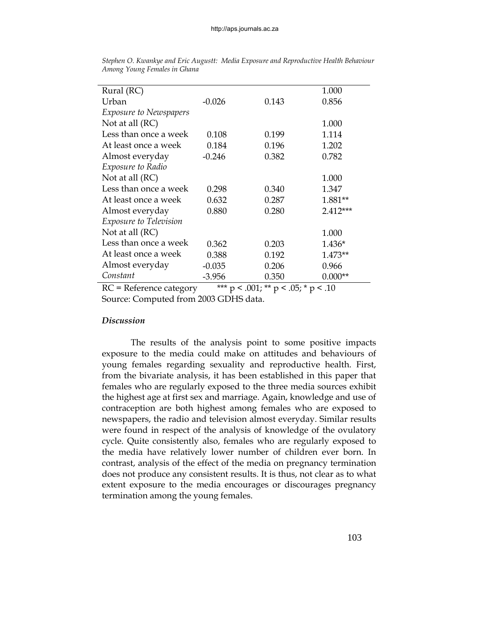| Rural (RC)                    |          |       | 1.000     |
|-------------------------------|----------|-------|-----------|
| Urban                         | $-0.026$ | 0.143 | 0.856     |
| <b>Exposure to Newspapers</b> |          |       |           |
| Not at all $(RC)$             |          |       | 1.000     |
| Less than once a week         | 0.108    | 0.199 | 1.114     |
| At least once a week          | 0.184    | 0.196 | 1.202     |
| Almost everyday               | $-0.246$ | 0.382 | 0.782     |
| Exposure to Radio             |          |       |           |
| Not at all $(RC)$             |          |       | 1.000     |
| Less than once a week         | 0.298    | 0.340 | 1.347     |
| At least once a week          | 0.632    | 0.287 | 1.881**   |
| Almost everyday               | 0.880    | 0.280 | 2.412***  |
| <i>Exposure to Television</i> |          |       |           |
| Not at all $(RC)$             |          |       | 1.000     |
| Less than once a week         | 0.362    | 0.203 | 1.436*    |
| At least once a week          | 0.388    | 0.192 | $1.473**$ |
| Almost everyday               | $-0.035$ | 0.206 | 0.966     |
| Constant                      | $-3.956$ | 0.350 | $0.000**$ |
|                               |          |       |           |

*Stephen O. Kwankye and Eric Augustt: Media Exposure and Reproductive Health Behaviour Among Young Females in Ghana* 

RC = Reference category  $*^{**} p < .001$ ;  $*^{*} p < .05$ ;  $* p < .10$ Source: Computed from 2003 GDHS data.

## *Discussion*

 The results of the analysis point to some positive impacts exposure to the media could make on attitudes and behaviours of young females regarding sexuality and reproductive health. First, from the bivariate analysis, it has been established in this paper that females who are regularly exposed to the three media sources exhibit the highest age at first sex and marriage. Again, knowledge and use of contraception are both highest among females who are exposed to newspapers, the radio and television almost everyday. Similar results were found in respect of the analysis of knowledge of the ovulatory cycle. Quite consistently also, females who are regularly exposed to the media have relatively lower number of children ever born. In contrast, analysis of the effect of the media on pregnancy termination does not produce any consistent results. It is thus, not clear as to what extent exposure to the media encourages or discourages pregnancy termination among the young females.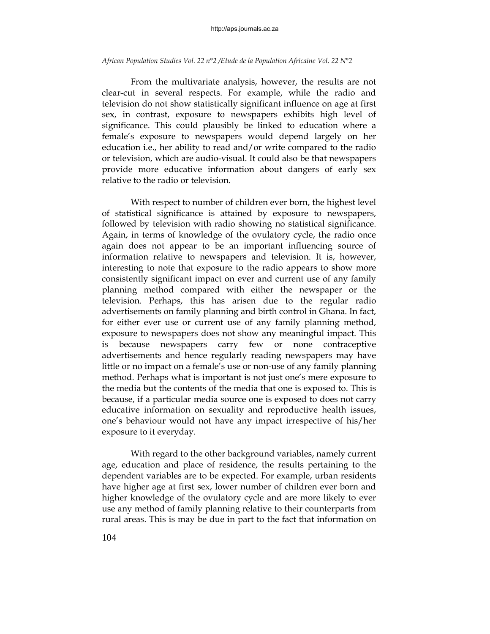From the multivariate analysis, however, the results are not clear-cut in several respects. For example, while the radio and television do not show statistically significant influence on age at first sex, in contrast, exposure to newspapers exhibits high level of significance. This could plausibly be linked to education where a female's exposure to newspapers would depend largely on her education i.e., her ability to read and/or write compared to the radio or television, which are audio-visual. It could also be that newspapers provide more educative information about dangers of early sex relative to the radio or television.

 With respect to number of children ever born, the highest level of statistical significance is attained by exposure to newspapers, followed by television with radio showing no statistical significance. Again, in terms of knowledge of the ovulatory cycle, the radio once again does not appear to be an important influencing source of information relative to newspapers and television. It is, however, interesting to note that exposure to the radio appears to show more consistently significant impact on ever and current use of any family planning method compared with either the newspaper or the television. Perhaps, this has arisen due to the regular radio advertisements on family planning and birth control in Ghana. In fact, for either ever use or current use of any family planning method, exposure to newspapers does not show any meaningful impact. This is because newspapers carry few or none contraceptive advertisements and hence regularly reading newspapers may have little or no impact on a female's use or non-use of any family planning method. Perhaps what is important is not just one's mere exposure to the media but the contents of the media that one is exposed to. This is because, if a particular media source one is exposed to does not carry educative information on sexuality and reproductive health issues, one's behaviour would not have any impact irrespective of his/her exposure to it everyday.

 With regard to the other background variables, namely current age, education and place of residence, the results pertaining to the dependent variables are to be expected. For example, urban residents have higher age at first sex, lower number of children ever born and higher knowledge of the ovulatory cycle and are more likely to ever use any method of family planning relative to their counterparts from rural areas. This is may be due in part to the fact that information on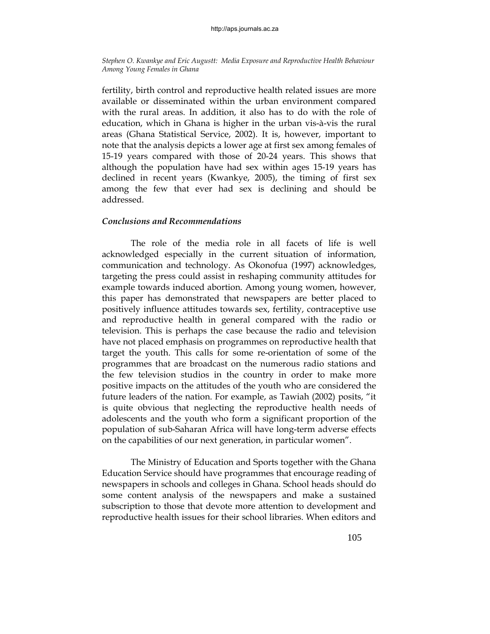fertility, birth control and reproductive health related issues are more available or disseminated within the urban environment compared with the rural areas. In addition, it also has to do with the role of education, which in Ghana is higher in the urban vis-à-vis the rural areas (Ghana Statistical Service, 2002). It is, however, important to note that the analysis depicts a lower age at first sex among females of 15-19 years compared with those of 20-24 years. This shows that although the population have had sex within ages 15-19 years has declined in recent years (Kwankye, 2005), the timing of first sex among the few that ever had sex is declining and should be addressed.

## *Conclusions and Recommendations*

 The role of the media role in all facets of life is well acknowledged especially in the current situation of information, communication and technology. As Okonofua (1997) acknowledges, targeting the press could assist in reshaping community attitudes for example towards induced abortion. Among young women, however, this paper has demonstrated that newspapers are better placed to positively influence attitudes towards sex, fertility, contraceptive use and reproductive health in general compared with the radio or television. This is perhaps the case because the radio and television have not placed emphasis on programmes on reproductive health that target the youth. This calls for some re-orientation of some of the programmes that are broadcast on the numerous radio stations and the few television studios in the country in order to make more positive impacts on the attitudes of the youth who are considered the future leaders of the nation. For example, as Tawiah (2002) posits, "it is quite obvious that neglecting the reproductive health needs of adolescents and the youth who form a significant proportion of the population of sub-Saharan Africa will have long-term adverse effects on the capabilities of our next generation, in particular women".

 The Ministry of Education and Sports together with the Ghana Education Service should have programmes that encourage reading of newspapers in schools and colleges in Ghana. School heads should do some content analysis of the newspapers and make a sustained subscription to those that devote more attention to development and reproductive health issues for their school libraries. When editors and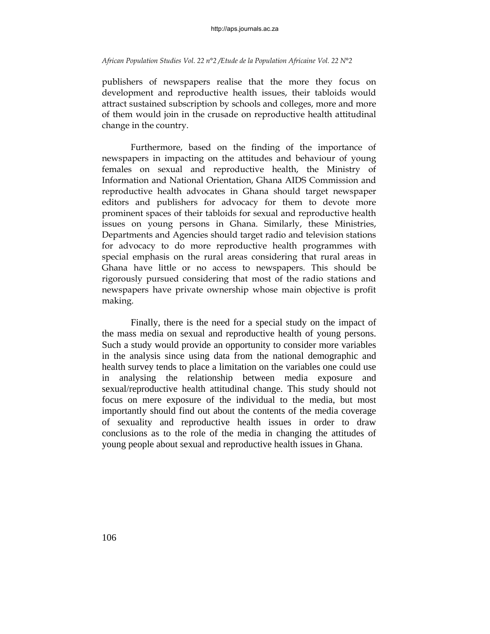publishers of newspapers realise that the more they focus on development and reproductive health issues, their tabloids would attract sustained subscription by schools and colleges, more and more of them would join in the crusade on reproductive health attitudinal change in the country.

 Furthermore, based on the finding of the importance of newspapers in impacting on the attitudes and behaviour of young females on sexual and reproductive health, the Ministry of Information and National Orientation, Ghana AIDS Commission and reproductive health advocates in Ghana should target newspaper editors and publishers for advocacy for them to devote more prominent spaces of their tabloids for sexual and reproductive health issues on young persons in Ghana. Similarly, these Ministries, Departments and Agencies should target radio and television stations for advocacy to do more reproductive health programmes with special emphasis on the rural areas considering that rural areas in Ghana have little or no access to newspapers. This should be rigorously pursued considering that most of the radio stations and newspapers have private ownership whose main objective is profit making.

 Finally, there is the need for a special study on the impact of the mass media on sexual and reproductive health of young persons. Such a study would provide an opportunity to consider more variables in the analysis since using data from the national demographic and health survey tends to place a limitation on the variables one could use in analysing the relationship between media exposure and sexual/reproductive health attitudinal change. This study should not focus on mere exposure of the individual to the media, but most importantly should find out about the contents of the media coverage of sexuality and reproductive health issues in order to draw conclusions as to the role of the media in changing the attitudes of young people about sexual and reproductive health issues in Ghana.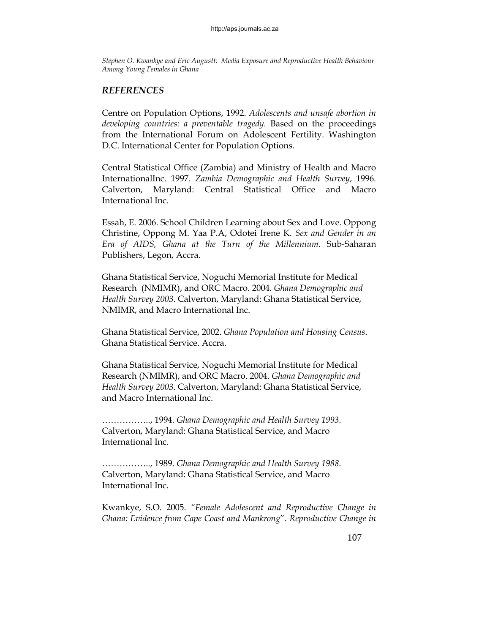# *REFERENCES*

Centre on Population Options, 1992. *Adolescents and unsafe abortion in developing countries: a preventable tragedy.* Based on the proceedings from the International Forum on Adolescent Fertility. Washington D.C. International Center for Population Options.

Central Statistical Office (Zambia) and Ministry of Health and Macro InternationalInc. 1997. *Zambia Demographic and Health Survey*, 1996. Calverton, Maryland: Central Statistical Office and Macro International Inc.

Essah, E. 2006. School Children Learning about Sex and Love. Oppong Christine, Oppong M. Yaa P.A, Odotei Irene K. *Sex and Gender in an Era of AIDS, Ghana at the Turn of the Millennium*. Sub-Saharan Publishers, Legon, Accra.

Ghana Statistical Service, Noguchi Memorial Institute for Medical Research (NMIMR), and ORC Macro. 2004. *Ghana Demographic and Health Survey 2003*. Calverton, Maryland: Ghana Statistical Service, NMIMR, and Macro International Inc.

Ghana Statistical Service, 2002. *Ghana Population and Housing Census*. Ghana Statistical Service. Accra.

Ghana Statistical Service, Noguchi Memorial Institute for Medical Research (NMIMR), and ORC Macro. 2004. *Ghana Demographic and Health Survey 2003*. Calverton, Maryland: Ghana Statistical Service, and Macro International Inc.

…………….., 1994. *Ghana Demographic and Health Survey 1993*. Calverton, Maryland: Ghana Statistical Service, and Macro International Inc.

…………….., 1989. *Ghana Demographic and Health Survey 1988*. Calverton, Maryland: Ghana Statistical Service, and Macro International Inc.

Kwankye, S.O. 2005. *"Female Adolescent and Reproductive Change in Ghana: Evidence from Cape Coast and Mankrong*". *Reproductive Change in*